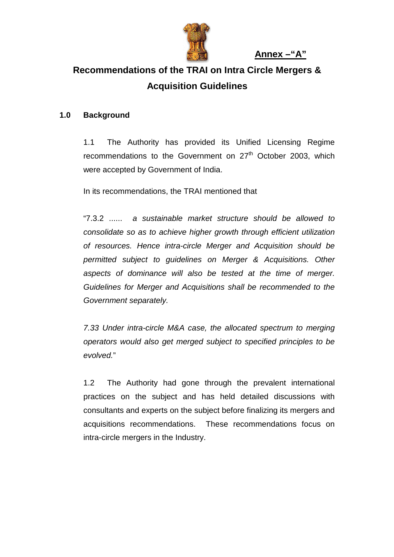

 **Annex –"A"**

# **Recommendations of the TRAI on Intra Circle Mergers & Acquisition Guidelines**

## **1.0 Background**

1.1 The Authority has provided its Unified Licensing Regime recommendations to the Government on  $27<sup>th</sup>$  October 2003, which were accepted by Government of India.

In its recommendations, the TRAI mentioned that

"7.3.2 ...... *a sustainable market structure should be allowed to consolidate so as to achieve higher growth through efficient utilization of resources. Hence intra-circle Merger and Acquisition should be permitted subject to guidelines on Merger & Acquisitions. Other aspects of dominance will also be tested at the time of merger. Guidelines for Merger and Acquisitions shall be recommended to the Government separately.* 

*7.33 Under intra-circle M&A case, the allocated spectrum to merging operators would also get merged subject to specified principles to be evolved.*"

1.2 The Authority had gone through the prevalent international practices on the subject and has held detailed discussions with consultants and experts on the subject before finalizing its mergers and acquisitions recommendations. These recommendations focus on intra-circle mergers in the Industry.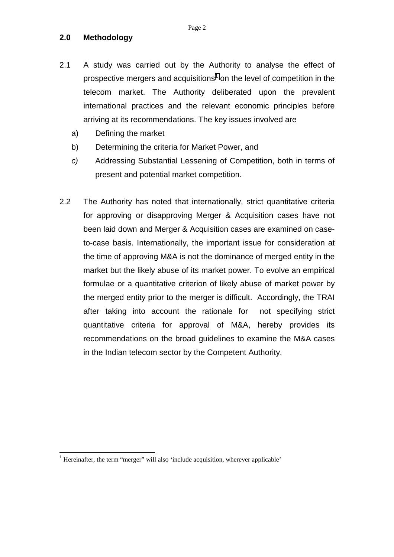### **2.0 Methodology**

- 2.1 A study was carried out by the Authority to analyse the effect of prospective mergers and acquisitions<sup>1</sup> on the level of competition in the telecom market. The Authority deliberated upon the prevalent international practices and the relevant economic principles before arriving at its recommendations. The key issues involved are
	- a) Defining the market
	- b) Determining the criteria for Market Power, and
	- *c)* Addressing Substantial Lessening of Competition, both in terms of present and potential market competition.
- 2.2 The Authority has noted that internationally, strict quantitative criteria for approving or disapproving Merger & Acquisition cases have not been laid down and Merger & Acquisition cases are examined on caseto-case basis. Internationally, the important issue for consideration at the time of approving M&A is not the dominance of merged entity in the market but the likely abuse of its market power. To evolve an empirical formulae or a quantitative criterion of likely abuse of market power by the merged entity prior to the merger is difficult. Accordingly, the TRAI after taking into account the rationale for not specifying strict quantitative criteria for approval of M&A, hereby provides its recommendations on the broad guidelines to examine the M&A cases in the Indian telecom sector by the Competent Authority.

l

<sup>&</sup>lt;sup>1</sup> Hereinafter, the term "merger" will also 'include acquisition, wherever applicable'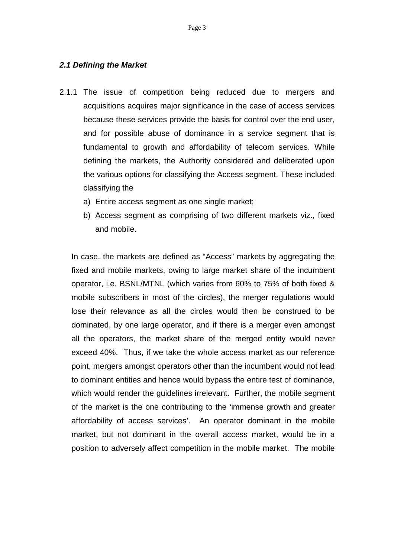### *2.1 Defining the Market*

- 2.1.1 The issue of competition being reduced due to mergers and acquisitions acquires major significance in the case of access services because these services provide the basis for control over the end user, and for possible abuse of dominance in a service segment that is fundamental to growth and affordability of telecom services. While defining the markets, the Authority considered and deliberated upon the various options for classifying the Access segment. These included classifying the
	- a) Entire access segment as one single market;
	- b) Access segment as comprising of two different markets viz., fixed and mobile.

In case, the markets are defined as "Access" markets by aggregating the fixed and mobile markets, owing to large market share of the incumbent operator, i.e. BSNL/MTNL (which varies from 60% to 75% of both fixed & mobile subscribers in most of the circles), the merger regulations would lose their relevance as all the circles would then be construed to be dominated, by one large operator, and if there is a merger even amongst all the operators, the market share of the merged entity would never exceed 40%. Thus, if we take the whole access market as our reference point, mergers amongst operators other than the incumbent would not lead to dominant entities and hence would bypass the entire test of dominance, which would render the guidelines irrelevant. Further, the mobile segment of the market is the one contributing to the 'immense growth and greater affordability of access services'. An operator dominant in the mobile market, but not dominant in the overall access market, would be in a position to adversely affect competition in the mobile market. The mobile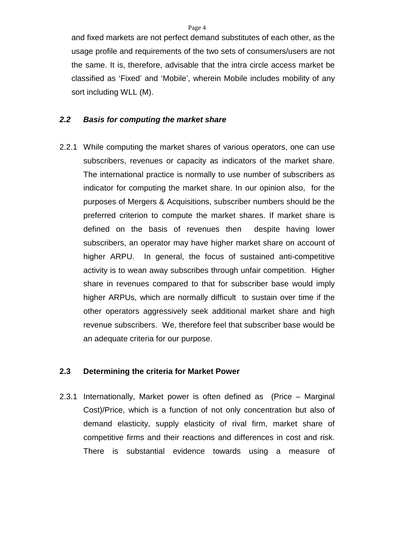and fixed markets are not perfect demand substitutes of each other, as the usage profile and requirements of the two sets of consumers/users are not the same. It is, therefore, advisable that the intra circle access market be classified as 'Fixed' and 'Mobile', wherein Mobile includes mobility of any sort including WLL (M).

### *2.2 Basis for computing the market share*

2.2.1 While computing the market shares of various operators, one can use subscribers, revenues or capacity as indicators of the market share. The international practice is normally to use number of subscribers as indicator for computing the market share. In our opinion also, for the purposes of Mergers & Acquisitions, subscriber numbers should be the preferred criterion to compute the market shares. If market share is defined on the basis of revenues then despite having lower subscribers, an operator may have higher market share on account of higher ARPU. In general, the focus of sustained anti-competitive activity is to wean away subscribes through unfair competition. Higher share in revenues compared to that for subscriber base would imply higher ARPUs, which are normally difficult to sustain over time if the other operators aggressively seek additional market share and high revenue subscribers. We, therefore feel that subscriber base would be an adequate criteria for our purpose.

## **2.3 Determining the criteria for Market Power**

2.3.1 Internationally, Market power is often defined as (Price – Marginal Cost)/Price, which is a function of not only concentration but also of demand elasticity, supply elasticity of rival firm, market share of competitive firms and their reactions and differences in cost and risk. There is substantial evidence towards using a measure of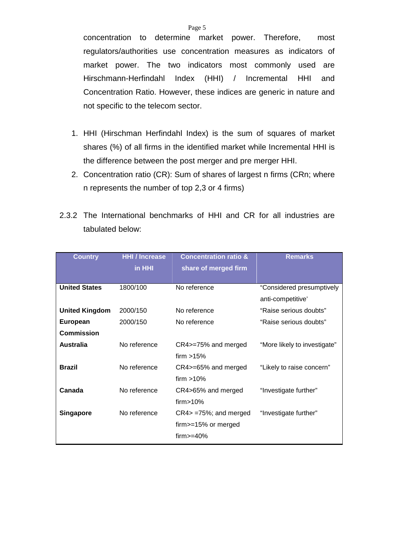concentration to determine market power. Therefore, most regulators/authorities use concentration measures as indicators of market power. The two indicators most commonly used are Hirschmann-Herfindahl Index (HHI) / Incremental HHI and Concentration Ratio. However, these indices are generic in nature and not specific to the telecom sector.

- 1. HHI (Hirschman Herfindahl Index) is the sum of squares of market shares (%) of all firms in the identified market while Incremental HHI is the difference between the post merger and pre merger HHI.
- 2. Concentration ratio (CR): Sum of shares of largest n firms (CRn; where n represents the number of top 2,3 or 4 firms)
- 2.3.2 The International benchmarks of HHI and CR for all industries are tabulated below:

| <b>Country</b>        | <b>HHI</b> / Increase | <b>Concentration ratio &amp;</b> | <b>Remarks</b>               |
|-----------------------|-----------------------|----------------------------------|------------------------------|
|                       | in HHI                | share of merged firm             |                              |
|                       |                       |                                  |                              |
| <b>United States</b>  | 1800/100              | No reference                     | "Considered presumptively    |
|                       |                       |                                  | anti-competitive'            |
| <b>United Kingdom</b> | 2000/150              | No reference                     | "Raise serious doubts"       |
| European              | 2000/150              | No reference                     | "Raise serious doubts"       |
| <b>Commission</b>     |                       |                                  |                              |
| <b>Australia</b>      | No reference          | CR4>=75% and merged              | "More likely to investigate" |
|                       |                       | firm $>15\%$                     |                              |
| <b>Brazil</b>         | No reference          | CR4>=65% and merged              | "Likely to raise concern"    |
|                       |                       | firm $>10\%$                     |                              |
| Canada                | No reference          | CR4>65% and merged               | "Investigate further"        |
|                       |                       | firm > 10%                       |                              |
| <b>Singapore</b>      | No reference          | $CR4$ = $75\%$ ; and merged      | "Investigate further"        |
|                       |                       | firm>=15% or merged              |                              |
|                       |                       | $firm>=40\%$                     |                              |
|                       |                       |                                  |                              |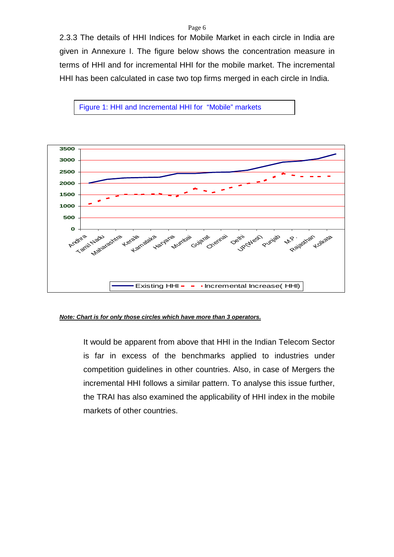#### Page 6

2.3.3 The details of HHI Indices for Mobile Market in each circle in India are given in Annexure I. The figure below shows the concentration measure in terms of HHI and for incremental HHI for the mobile market. The incremental HHI has been calculated in case two top firms merged in each circle in India.





#### *Note: Chart is for only those circles which have more than 3 operators.*

It would be apparent from above that HHI in the Indian Telecom Sector is far in excess of the benchmarks applied to industries under competition guidelines in other countries. Also, in case of Mergers the incremental HHI follows a similar pattern. To analyse this issue further, the TRAI has also examined the applicability of HHI index in the mobile markets of other countries.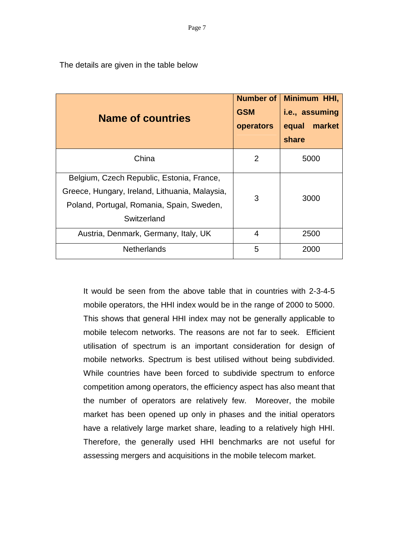The details are given in the table below

| <b>Name of countries</b>                                                                                                                                | Number of<br><b>GSM</b><br>operators | Minimum HHI,<br>i.e., assuming<br>market<br>equal<br>share |
|---------------------------------------------------------------------------------------------------------------------------------------------------------|--------------------------------------|------------------------------------------------------------|
| China                                                                                                                                                   | $\overline{2}$                       | 5000                                                       |
| Belgium, Czech Republic, Estonia, France,<br>Greece, Hungary, Ireland, Lithuania, Malaysia,<br>Poland, Portugal, Romania, Spain, Sweden,<br>Switzerland | 3                                    | 3000                                                       |
| Austria, Denmark, Germany, Italy, UK                                                                                                                    | 4                                    | 2500                                                       |
| <b>Netherlands</b>                                                                                                                                      | 5                                    | 2000                                                       |

It would be seen from the above table that in countries with 2-3-4-5 mobile operators, the HHI index would be in the range of 2000 to 5000. This shows that general HHI index may not be generally applicable to mobile telecom networks. The reasons are not far to seek. Efficient utilisation of spectrum is an important consideration for design of mobile networks. Spectrum is best utilised without being subdivided. While countries have been forced to subdivide spectrum to enforce competition among operators, the efficiency aspect has also meant that the number of operators are relatively few. Moreover, the mobile market has been opened up only in phases and the initial operators have a relatively large market share, leading to a relatively high HHI. Therefore, the generally used HHI benchmarks are not useful for assessing mergers and acquisitions in the mobile telecom market.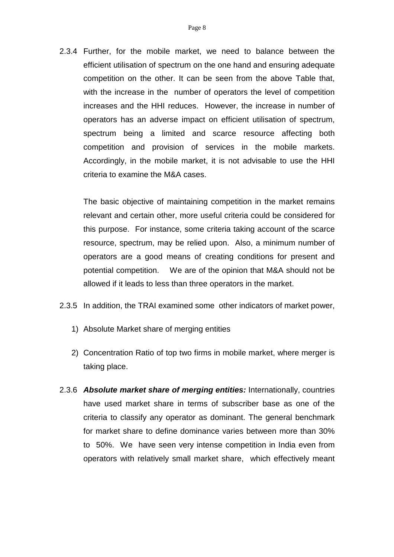2.3.4 Further, for the mobile market, we need to balance between the efficient utilisation of spectrum on the one hand and ensuring adequate competition on the other. It can be seen from the above Table that, with the increase in the number of operators the level of competition increases and the HHI reduces. However, the increase in number of operators has an adverse impact on efficient utilisation of spectrum, spectrum being a limited and scarce resource affecting both competition and provision of services in the mobile markets. Accordingly, in the mobile market, it is not advisable to use the HHI criteria to examine the M&A cases.

The basic objective of maintaining competition in the market remains relevant and certain other, more useful criteria could be considered for this purpose. For instance, some criteria taking account of the scarce resource, spectrum, may be relied upon. Also, a minimum number of operators are a good means of creating conditions for present and potential competition. We are of the opinion that M&A should not be allowed if it leads to less than three operators in the market.

- 2.3.5 In addition, the TRAI examined some other indicators of market power,
	- 1) Absolute Market share of merging entities
	- 2) Concentration Ratio of top two firms in mobile market, where merger is taking place.
- 2.3.6 *Absolute market share of merging entities:* Internationally, countries have used market share in terms of subscriber base as one of the criteria to classify any operator as dominant. The general benchmark for market share to define dominance varies between more than 30% to 50%. We have seen very intense competition in India even from operators with relatively small market share, which effectively meant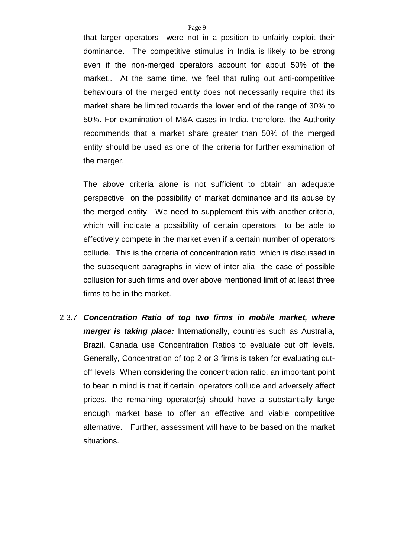that larger operators were not in a position to unfairly exploit their dominance. The competitive stimulus in India is likely to be strong even if the non-merged operators account for about 50% of the market,. At the same time, we feel that ruling out anti-competitive behaviours of the merged entity does not necessarily require that its market share be limited towards the lower end of the range of 30% to 50%. For examination of M&A cases in India, therefore, the Authority recommends that a market share greater than 50% of the merged entity should be used as one of the criteria for further examination of the merger.

The above criteria alone is not sufficient to obtain an adequate perspective on the possibility of market dominance and its abuse by the merged entity. We need to supplement this with another criteria, which will indicate a possibility of certain operators to be able to effectively compete in the market even if a certain number of operators collude. This is the criteria of concentration ratio which is discussed in the subsequent paragraphs in view of inter alia the case of possible collusion for such firms and over above mentioned limit of at least three firms to be in the market.

2.3.7 *Concentration Ratio of top two firms in mobile market, where merger is taking place:* Internationally, countries such as Australia, Brazil, Canada use Concentration Ratios to evaluate cut off levels. Generally, Concentration of top 2 or 3 firms is taken for evaluating cutoff levels When considering the concentration ratio, an important point to bear in mind is that if certain operators collude and adversely affect prices, the remaining operator(s) should have a substantially large enough market base to offer an effective and viable competitive alternative. Further, assessment will have to be based on the market situations.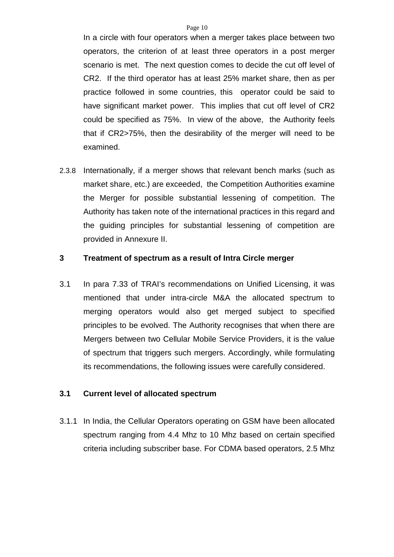In a circle with four operators when a merger takes place between two operators, the criterion of at least three operators in a post merger scenario is met. The next question comes to decide the cut off level of CR2. If the third operator has at least 25% market share, then as per practice followed in some countries, this operator could be said to have significant market power. This implies that cut off level of CR2 could be specified as 75%. In view of the above, the Authority feels that if CR2>75%, then the desirability of the merger will need to be examined.

2.3.8 Internationally, if a merger shows that relevant bench marks (such as market share, etc.) are exceeded, the Competition Authorities examine the Merger for possible substantial lessening of competition. The Authority has taken note of the international practices in this regard and the guiding principles for substantial lessening of competition are provided in Annexure II.

### **3 Treatment of spectrum as a result of Intra Circle merger**

3.1 In para 7.33 of TRAI's recommendations on Unified Licensing, it was mentioned that under intra-circle M&A the allocated spectrum to merging operators would also get merged subject to specified principles to be evolved. The Authority recognises that when there are Mergers between two Cellular Mobile Service Providers, it is the value of spectrum that triggers such mergers. Accordingly, while formulating its recommendations, the following issues were carefully considered.

### **3.1 Current level of allocated spectrum**

3.1.1 In India, the Cellular Operators operating on GSM have been allocated spectrum ranging from 4.4 Mhz to 10 Mhz based on certain specified criteria including subscriber base. For CDMA based operators, 2.5 Mhz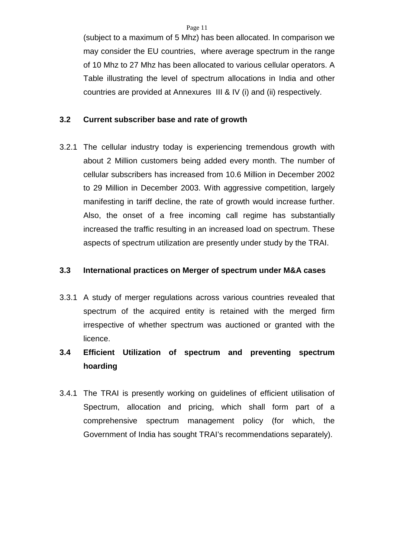(subject to a maximum of 5 Mhz) has been allocated. In comparison we may consider the EU countries, where average spectrum in the range of 10 Mhz to 27 Mhz has been allocated to various cellular operators. A Table illustrating the level of spectrum allocations in India and other countries are provided at Annexures III & IV (i) and (ii) respectively.

### **3.2 Current subscriber base and rate of growth**

3.2.1 The cellular industry today is experiencing tremendous growth with about 2 Million customers being added every month. The number of cellular subscribers has increased from 10.6 Million in December 2002 to 29 Million in December 2003. With aggressive competition, largely manifesting in tariff decline, the rate of growth would increase further. Also, the onset of a free incoming call regime has substantially increased the traffic resulting in an increased load on spectrum. These aspects of spectrum utilization are presently under study by the TRAI.

### **3.3 International practices on Merger of spectrum under M&A cases**

3.3.1 A study of merger regulations across various countries revealed that spectrum of the acquired entity is retained with the merged firm irrespective of whether spectrum was auctioned or granted with the licence.

# **3.4 Efficient Utilization of spectrum and preventing spectrum hoarding**

3.4.1 The TRAI is presently working on guidelines of efficient utilisation of Spectrum, allocation and pricing, which shall form part of a comprehensive spectrum management policy (for which, the Government of India has sought TRAI's recommendations separately).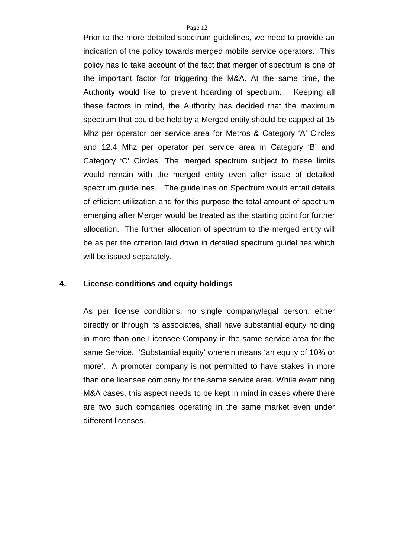Prior to the more detailed spectrum guidelines, we need to provide an indication of the policy towards merged mobile service operators. This policy has to take account of the fact that merger of spectrum is one of the important factor for triggering the M&A. At the same time, the Authority would like to prevent hoarding of spectrum. Keeping all these factors in mind, the Authority has decided that the maximum spectrum that could be held by a Merged entity should be capped at 15 Mhz per operator per service area for Metros & Category 'A' Circles and 12.4 Mhz per operator per service area in Category 'B' and Category 'C' Circles. The merged spectrum subject to these limits would remain with the merged entity even after issue of detailed spectrum guidelines. The guidelines on Spectrum would entail details of efficient utilization and for this purpose the total amount of spectrum emerging after Merger would be treated as the starting point for further allocation. The further allocation of spectrum to the merged entity will be as per the criterion laid down in detailed spectrum guidelines which will be issued separately.

### **4. License conditions and equity holdings**

As per license conditions, no single company/legal person, either directly or through its associates, shall have substantial equity holding in more than one Licensee Company in the same service area for the same Service. 'Substantial equity' wherein means 'an equity of 10% or more'. A promoter company is not permitted to have stakes in more than one licensee company for the same service area. While examining M&A cases, this aspect needs to be kept in mind in cases where there are two such companies operating in the same market even under different licenses.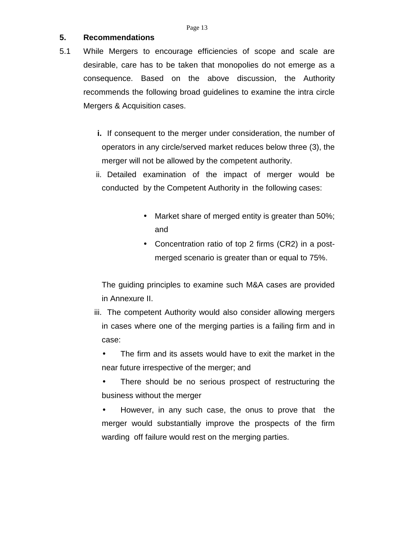## **5. Recommendations**

- 5.1 While Mergers to encourage efficiencies of scope and scale are desirable, care has to be taken that monopolies do not emerge as a consequence. Based on the above discussion, the Authority recommends the following broad guidelines to examine the intra circle Mergers & Acquisition cases.
	- **i.** If consequent to the merger under consideration, the number of operators in any circle/served market reduces below three (3), the merger will not be allowed by the competent authority.
	- ii. Detailed examination of the impact of merger would be conducted by the Competent Authority in the following cases:
		- Market share of merged entity is greater than 50%; and
		- Concentration ratio of top 2 firms (CR2) in a postmerged scenario is greater than or equal to 75%.

The guiding principles to examine such M&A cases are provided in Annexure II.

- iii. The competent Authority would also consider allowing mergers in cases where one of the merging parties is a failing firm and in case:
	- The firm and its assets would have to exit the market in the near future irrespective of the merger; and
	- There should be no serious prospect of restructuring the business without the merger
	- However, in any such case, the onus to prove that the merger would substantially improve the prospects of the firm warding off failure would rest on the merging parties.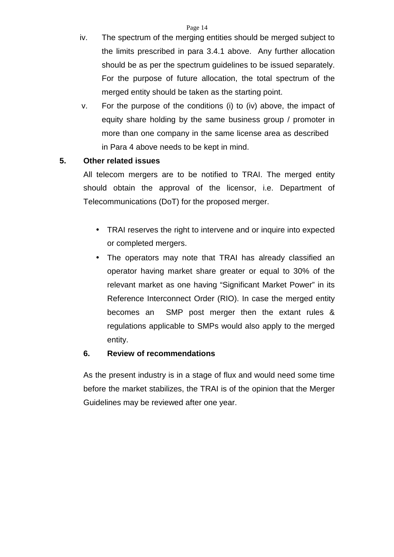- iv. The spectrum of the merging entities should be merged subject to the limits prescribed in para 3.4.1 above. Any further allocation should be as per the spectrum guidelines to be issued separately. For the purpose of future allocation, the total spectrum of the merged entity should be taken as the starting point.
- v. For the purpose of the conditions (i) to (iv) above, the impact of equity share holding by the same business group / promoter in more than one company in the same license area as described in Para 4 above needs to be kept in mind.

# **5. Other related issues**

All telecom mergers are to be notified to TRAI. The merged entity should obtain the approval of the licensor, i.e. Department of Telecommunications (DoT) for the proposed merger.

- TRAI reserves the right to intervene and or inquire into expected or completed mergers.
- The operators may note that TRAI has already classified an operator having market share greater or equal to 30% of the relevant market as one having "Significant Market Power" in its Reference Interconnect Order (RIO). In case the merged entity becomes an SMP post merger then the extant rules & regulations applicable to SMPs would also apply to the merged entity.

# **6. Review of recommendations**

As the present industry is in a stage of flux and would need some time before the market stabilizes, the TRAI is of the opinion that the Merger Guidelines may be reviewed after one year.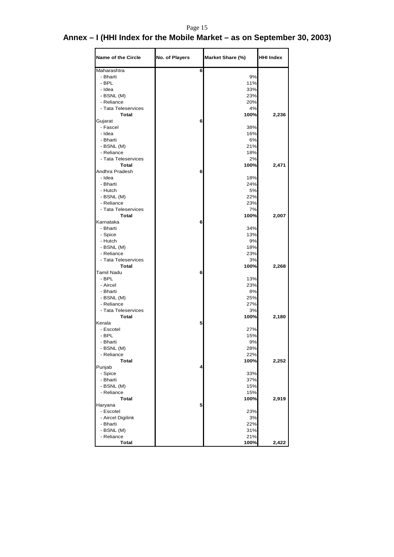# Page 15

# **Annex – I (HHI Index for the Mobile Market – as on September 30, 2003)**

| <b>Name of the Circle</b>           | No. of Players | Market Share (%) | <b>HHI Index</b> |
|-------------------------------------|----------------|------------------|------------------|
| Maharashtra                         | 6              |                  |                  |
| - Bharti                            |                | 9%               |                  |
| - BPL                               |                | 11%              |                  |
| - Idea                              |                | 33%              |                  |
| - BSNL (M)                          |                | 23%              |                  |
| - Reliance                          |                | 20%              |                  |
| - Tata Teleservices                 |                | 4%               |                  |
| <b>Total</b>                        |                | 100%             | 2,236            |
| Gujarat                             | 6              |                  |                  |
| - Fascel                            |                | 38%              |                  |
| - Idea                              |                | 16%              |                  |
| - Bharti                            |                | 6%               |                  |
| - BSNL (M)                          |                | 21%              |                  |
| - Reliance                          |                | 18%              |                  |
| - Tata Teleservices<br><b>Total</b> |                | 2%<br>100%       |                  |
| Andhra Pradesh                      | 6              |                  | 2,471            |
| - Idea                              |                | 18%              |                  |
| - Bharti                            |                | 24%              |                  |
| - Hutch                             |                | 5%               |                  |
|                                     |                | 22%              |                  |
| - BSNL (M)<br>- Reliance            |                | 23%              |                  |
| - Tata Teleservices                 |                | 7%               |                  |
| <b>Total</b>                        |                | 100%             | 2,007            |
| Karnataka                           | 6              |                  |                  |
| - Bharti                            |                | 34%              |                  |
| - Spice                             |                | 13%              |                  |
| - Hutch                             |                | 9%               |                  |
| - BSNL (M)                          |                | 18%              |                  |
| - Reliance                          |                | 23%              |                  |
| - Tata Teleservices                 |                | 3%               |                  |
| <b>Total</b>                        |                | 100%             | 2,268            |
| Tamil Nadu                          | 6              |                  |                  |
| - BPL                               |                | 13%              |                  |
| - Aircel                            |                | 23%              |                  |
| - Bharti                            |                | 8%               |                  |
| - BSNL (M)                          |                | 25%              |                  |
| - Reliance                          |                | 27%              |                  |
| - Tata Teleservices                 |                | 3%               |                  |
| Total                               |                | 100%             | 2,180            |
| Kerala                              | 5              |                  |                  |
| - Escotel                           |                | 27%              |                  |
| - BPL                               |                | 15%              |                  |
| - Bharti                            |                | 9%               |                  |
| - BSNL (M)                          |                | 28%              |                  |
| - Reliance                          |                | 22%              |                  |
| Total                               |                | 100%             | 2,252            |
| Punjab                              | 4              |                  |                  |
| - Spice                             |                | 33%              |                  |
| - Bharti                            |                | 37%              |                  |
| - BSNL (M)                          |                | 15%              |                  |
| - Reliance                          |                | 15%              |                  |
| <b>Total</b>                        |                | 100%             | 2,919            |
| Haryana                             | 5              |                  |                  |
| - Escotel                           |                | 23%              |                  |
| - Aircel Digilink                   |                | 3%               |                  |
| - Bharti                            |                | 22%              |                  |
| - BSNL (M)<br>- Reliance            |                | 31%<br>21%       |                  |
| <b>Total</b>                        |                | 100%             | 2,422            |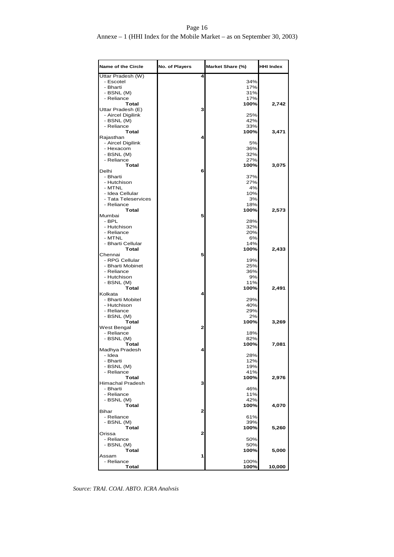## Page 16

## Annexe – 1 (HHI Index for the Mobile Market – as on September 30, 2003)

| <b>Name of the Circle</b>              | No. of Players | Market Share (%) | <b>HHI Index</b> |
|----------------------------------------|----------------|------------------|------------------|
| Uttar Pradesh (W)                      | 4              |                  |                  |
| - Escotel                              |                | 34%              |                  |
| - Bharti                               |                | 17%              |                  |
| - BSNL (M)                             |                | 31%              |                  |
| - Reliance                             |                | 17%              |                  |
| Total                                  | 3              | 100%             | 2,742            |
| Uttar Pradesh (E)<br>- Aircel Digilink |                | 25%              |                  |
| - BSNL (M)                             |                | 42%              |                  |
| - Reliance                             |                | 33%              |                  |
| <b>Total</b>                           |                | 100%             | 3,471            |
| Rajasthan                              | 4              |                  |                  |
| - Aircel Digilink                      |                | 5%               |                  |
| - Hexacom                              |                | 36%              |                  |
| - BSNL (M)                             |                | 32%              |                  |
| - Reliance                             |                | 27%              |                  |
| <b>Total</b>                           |                | 100%             | 3,075            |
| Delhi                                  | 6              |                  |                  |
| - Bharti                               |                | 37%              |                  |
| - Hutchison                            |                | 27%              |                  |
| - MTNL                                 |                | 4%               |                  |
| - Idea Cellular                        |                | 10%              |                  |
| - Tata Teleservices                    |                | 3%               |                  |
| - Reliance                             |                | 18%              |                  |
| Total                                  |                | 100%             | 2,573            |
| Mumbai                                 | 5              |                  |                  |
| - BPL                                  |                | 28%              |                  |
| - Hutchison                            |                | 32%              |                  |
| - Reliance                             |                | 20%              |                  |
| - MTNL                                 |                | 6%               |                  |
| - Bharti Cellular                      |                | 14%              |                  |
| Total<br>Chennai                       | 5              | 100%             | 2,433            |
| - RPG Cellular                         |                | 19%              |                  |
| - Bharti Mobinet                       |                | 25%              |                  |
| - Reliance                             |                | 36%              |                  |
| - Hutchison                            |                | 9%               |                  |
| - BSNL (M)                             |                | 11%              |                  |
| <b>Total</b>                           |                | 100%             | 2,491            |
| Kolkata                                | 4              |                  |                  |
| - Bharti Mobitel                       |                | 29%              |                  |
| - Hutchison                            |                | 40%              |                  |
| - Reliance                             |                | 29%              |                  |
| - BSNL (M)                             |                | 2%               |                  |
| Total                                  |                | 100%             | 3,269            |
| West Bengal                            | 2              |                  |                  |
| - Reliance                             |                | 18%              |                  |
| - BSNL (M)                             |                | 82%              |                  |
| Total                                  |                | 100%             | 7,081            |
| Madhya Pradesh                         | 4              |                  |                  |
| - Idea                                 |                | 28%              |                  |
| - Bharti                               |                | 12%              |                  |
| - BSNL (M)                             |                | 19%              |                  |
| - Reliance                             |                | 41%              |                  |
| <b>Total</b>                           | 3              | 100%             | 2,976            |
| Himachal Pradesh<br>- Bharti           |                |                  |                  |
| - Reliance                             |                | 46%<br>11%       |                  |
| - BSNL (M)                             |                | 42%              |                  |
| <b>Total</b>                           |                | 100%             | 4,070            |
| Bihar                                  | 2              |                  |                  |
| - Reliance                             |                | 61%              |                  |
| - BSNL (M)                             |                | 39%              |                  |
| Total                                  |                | 100%             | 5,260            |
| Orissa                                 | 2              |                  |                  |
| - Reliance                             |                | 50%              |                  |
| - BSNL (M)                             |                | 50%              |                  |
| Total                                  |                | 100%             | 5,000            |
| Assam                                  | 1              |                  |                  |
| - Reliance                             |                | 100%             |                  |
| Total                                  |                | 100%             | 10,000           |

*Source: TRAI, COAI, ABTO, ICRA Analysis*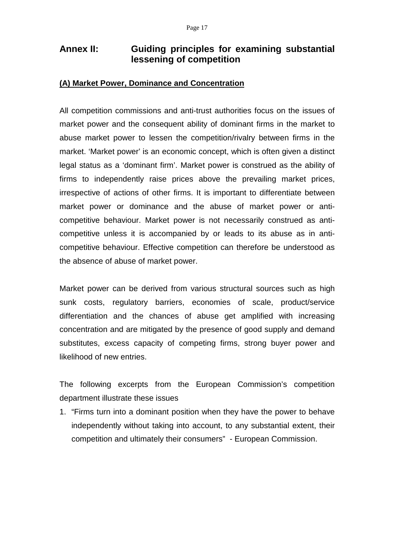# **Annex II: Guiding principles for examining substantial lessening of competition**

## **(A) Market Power, Dominance and Concentration**

All competition commissions and anti-trust authorities focus on the issues of market power and the consequent ability of dominant firms in the market to abuse market power to lessen the competition/rivalry between firms in the market. 'Market power' is an economic concept, which is often given a distinct legal status as a 'dominant firm'. Market power is construed as the ability of firms to independently raise prices above the prevailing market prices, irrespective of actions of other firms. It is important to differentiate between market power or dominance and the abuse of market power or anticompetitive behaviour. Market power is not necessarily construed as anticompetitive unless it is accompanied by or leads to its abuse as in anticompetitive behaviour. Effective competition can therefore be understood as the absence of abuse of market power.

Market power can be derived from various structural sources such as high sunk costs, regulatory barriers, economies of scale, product/service differentiation and the chances of abuse get amplified with increasing concentration and are mitigated by the presence of good supply and demand substitutes, excess capacity of competing firms, strong buyer power and likelihood of new entries.

The following excerpts from the European Commission's competition department illustrate these issues

1. "Firms turn into a dominant position when they have the power to behave independently without taking into account, to any substantial extent, their competition and ultimately their consumers" - European Commission.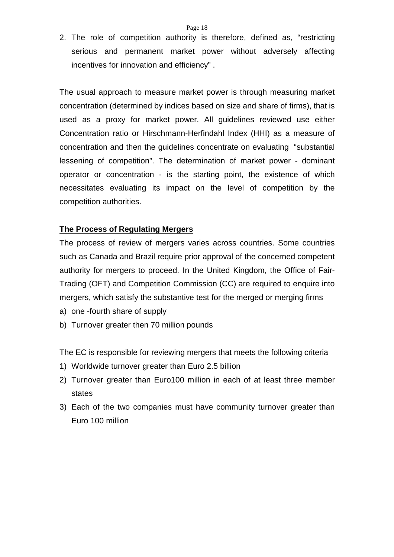2. The role of competition authority is therefore, defined as, "restricting serious and permanent market power without adversely affecting incentives for innovation and efficiency" .

The usual approach to measure market power is through measuring market concentration (determined by indices based on size and share of firms), that is used as a proxy for market power. All guidelines reviewed use either Concentration ratio or Hirschmann-Herfindahl Index (HHI) as a measure of concentration and then the guidelines concentrate on evaluating "substantial lessening of competition". The determination of market power - dominant operator or concentration - is the starting point, the existence of which necessitates evaluating its impact on the level of competition by the competition authorities.

## **The Process of Regulating Mergers**

The process of review of mergers varies across countries. Some countries such as Canada and Brazil require prior approval of the concerned competent authority for mergers to proceed. In the United Kingdom, the Office of Fair-Trading (OFT) and Competition Commission (CC) are required to enquire into mergers, which satisfy the substantive test for the merged or merging firms

- a) one -fourth share of supply
- b) Turnover greater then 70 million pounds

The EC is responsible for reviewing mergers that meets the following criteria

- 1) Worldwide turnover greater than Euro 2.5 billion
- 2) Turnover greater than Euro100 million in each of at least three member states
- 3) Each of the two companies must have community turnover greater than Euro 100 million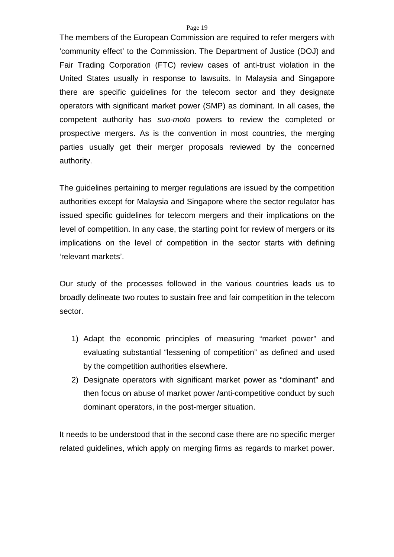#### Page 19

The members of the European Commission are required to refer mergers with 'community effect' to the Commission. The Department of Justice (DOJ) and Fair Trading Corporation (FTC) review cases of anti-trust violation in the United States usually in response to lawsuits. In Malaysia and Singapore there are specific guidelines for the telecom sector and they designate operators with significant market power (SMP) as dominant. In all cases, the competent authority has *suo-moto* powers to review the completed or prospective mergers. As is the convention in most countries, the merging parties usually get their merger proposals reviewed by the concerned authority.

The guidelines pertaining to merger regulations are issued by the competition authorities except for Malaysia and Singapore where the sector regulator has issued specific guidelines for telecom mergers and their implications on the level of competition. In any case, the starting point for review of mergers or its implications on the level of competition in the sector starts with defining 'relevant markets'.

Our study of the processes followed in the various countries leads us to broadly delineate two routes to sustain free and fair competition in the telecom sector.

- 1) Adapt the economic principles of measuring "market power" and evaluating substantial "lessening of competition" as defined and used by the competition authorities elsewhere.
- 2) Designate operators with significant market power as "dominant" and then focus on abuse of market power /anti-competitive conduct by such dominant operators, in the post-merger situation.

It needs to be understood that in the second case there are no specific merger related guidelines, which apply on merging firms as regards to market power.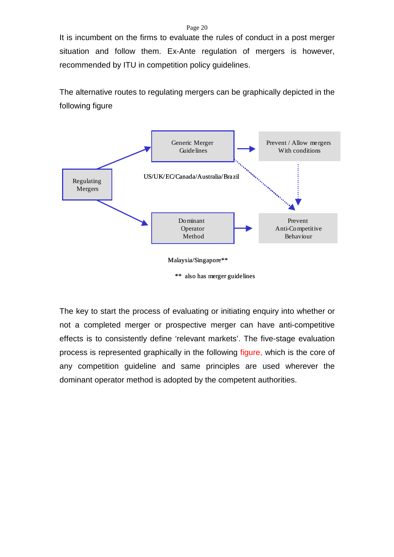#### Page 20

It is incumbent on the firms to evaluate the rules of conduct in a post merger situation and follow them. Ex-Ante regulation of mergers is however, recommended by ITU in competition policy guidelines.

The alternative routes to regulating mergers can be graphically depicted in the following figure



<sup>\*\*</sup> also has merger guidelines

The key to start the process of evaluating or initiating enquiry into whether or not a completed merger or prospective merger can have anti-competitive effects is to consistently define 'relevant markets'. The five-stage evaluation process is represented graphically in the following figure, which is the core of any competition guideline and same principles are used wherever the dominant operator method is adopted by the competent authorities.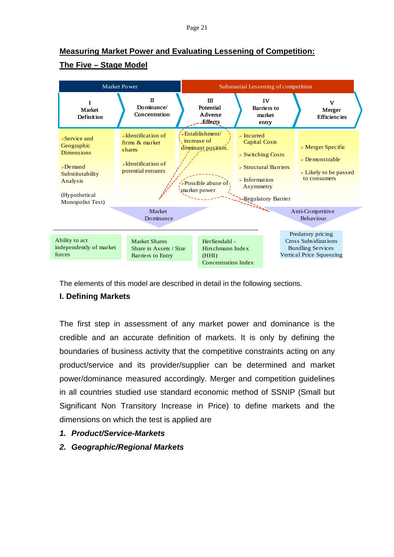# **Measuring Market Power and Evaluating Lessening of Competition: The Five – Stage Model**



The elements of this model are described in detail in the following sections.

# **I. Defining Markets**

The first step in assessment of any market power and dominance is the credible and an accurate definition of markets. It is only by defining the boundaries of business activity that the competitive constraints acting on any product/service and its provider/supplier can be determined and market power/dominance measured accordingly. Merger and competition guidelines in all countries studied use standard economic method of SSNIP (Small but Significant Non Transitory Increase in Price) to define markets and the dimensions on which the test is applied are

- *1. Product/Service-Markets*
- *2. Geographic/Regional Markets*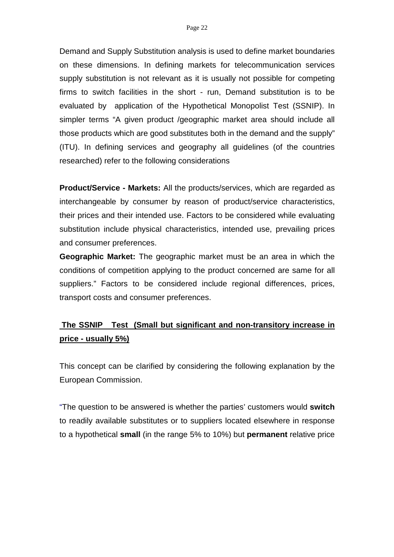Demand and Supply Substitution analysis is used to define market boundaries on these dimensions. In defining markets for telecommunication services supply substitution is not relevant as it is usually not possible for competing firms to switch facilities in the short - run, Demand substitution is to be evaluated by application of the Hypothetical Monopolist Test (SSNIP). In simpler terms "A given product /geographic market area should include all those products which are good substitutes both in the demand and the supply" (ITU). In defining services and geography all guidelines (of the countries researched) refer to the following considerations

**Product/Service - Markets:** All the products/services, which are regarded as interchangeable by consumer by reason of product/service characteristics, their prices and their intended use. Factors to be considered while evaluating substitution include physical characteristics, intended use, prevailing prices and consumer preferences.

**Geographic Market:** The geographic market must be an area in which the conditions of competition applying to the product concerned are same for all suppliers." Factors to be considered include regional differences, prices, transport costs and consumer preferences.

# **The SSNIP Test (Small but significant and non-transitory increase in price - usually 5%)**

This concept can be clarified by considering the following explanation by the European Commission.

"The question to be answered is whether the parties' customers would **switch**  to readily available substitutes or to suppliers located elsewhere in response to a hypothetical **small** (in the range 5% to 10%) but **permanent** relative price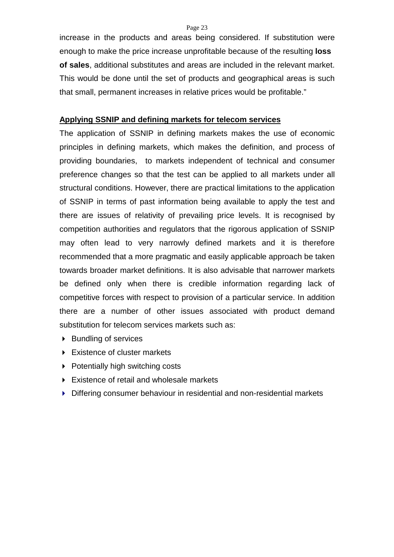increase in the products and areas being considered. If substitution were enough to make the price increase unprofitable because of the resulting **loss of sales**, additional substitutes and areas are included in the relevant market. This would be done until the set of products and geographical areas is such that small, permanent increases in relative prices would be profitable."

### **Applying SSNIP and defining markets for telecom services**

The application of SSNIP in defining markets makes the use of economic principles in defining markets, which makes the definition, and process of providing boundaries, to markets independent of technical and consumer preference changes so that the test can be applied to all markets under all structural conditions. However, there are practical limitations to the application of SSNIP in terms of past information being available to apply the test and there are issues of relativity of prevailing price levels. It is recognised by competition authorities and regulators that the rigorous application of SSNIP may often lead to very narrowly defined markets and it is therefore recommended that a more pragmatic and easily applicable approach be taken towards broader market definitions. It is also advisable that narrower markets be defined only when there is credible information regarding lack of competitive forces with respect to provision of a particular service. In addition there are a number of other issues associated with product demand substitution for telecom services markets such as:

- ▶ Bundling of services
- Existence of cluster markets
- $\triangleright$  Potentially high switching costs
- Existence of retail and wholesale markets
- Differing consumer behaviour in residential and non-residential markets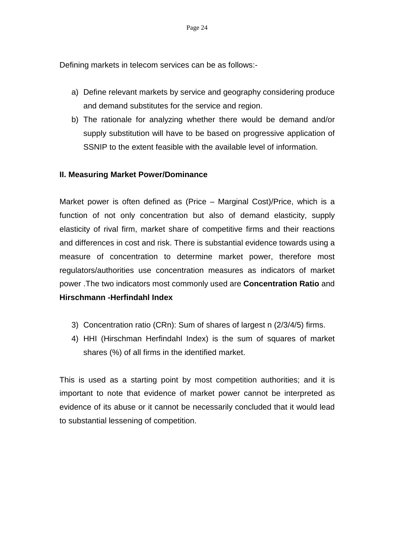Defining markets in telecom services can be as follows:-

- a) Define relevant markets by service and geography considering produce and demand substitutes for the service and region.
- b) The rationale for analyzing whether there would be demand and/or supply substitution will have to be based on progressive application of SSNIP to the extent feasible with the available level of information.

### **II. Measuring Market Power/Dominance**

Market power is often defined as (Price – Marginal Cost)/Price, which is a function of not only concentration but also of demand elasticity, supply elasticity of rival firm, market share of competitive firms and their reactions and differences in cost and risk. There is substantial evidence towards using a measure of concentration to determine market power, therefore most regulators/authorities use concentration measures as indicators of market power .The two indicators most commonly used are **Concentration Ratio** and **Hirschmann -Herfindahl Index** 

- 3) Concentration ratio (CRn): Sum of shares of largest n (2/3/4/5) firms.
- 4) HHI (Hirschman Herfindahl Index) is the sum of squares of market shares (%) of all firms in the identified market.

This is used as a starting point by most competition authorities; and it is important to note that evidence of market power cannot be interpreted as evidence of its abuse or it cannot be necessarily concluded that it would lead to substantial lessening of competition.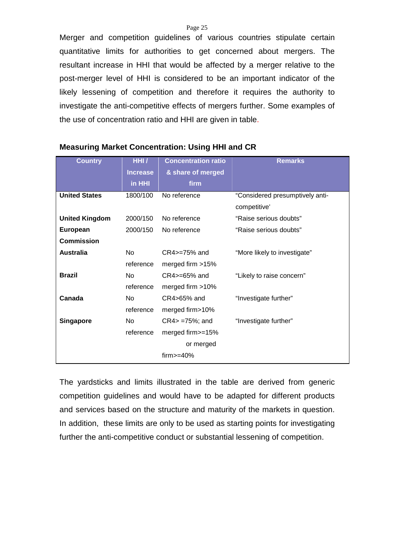Page 25

Merger and competition guidelines of various countries stipulate certain quantitative limits for authorities to get concerned about mergers. The resultant increase in HHI that would be affected by a merger relative to the post-merger level of HHI is considered to be an important indicator of the likely lessening of competition and therefore it requires the authority to investigate the anti-competitive effects of mergers further. Some examples of the use of concentration ratio and HHI are given in table.

| <b>Country</b>        | HHI/            | <b>Concentration ratio</b> | <b>Remarks</b>                  |
|-----------------------|-----------------|----------------------------|---------------------------------|
|                       | <b>Increase</b> | & share of merged          |                                 |
|                       | in HHI          | firm                       |                                 |
| <b>United States</b>  | 1800/100        | No reference               | "Considered presumptively anti- |
|                       |                 |                            | competitive'                    |
| <b>United Kingdom</b> | 2000/150        | No reference               | "Raise serious doubts"          |
| <b>European</b>       | 2000/150        | No reference               | "Raise serious doubts"          |
| Commission            |                 |                            |                                 |
| <b>Australia</b>      | N <sub>0</sub>  | CR4>=75% and               | "More likely to investigate"    |
|                       | reference       | merged firm >15%           |                                 |
| <b>Brazil</b>         | No.             | $CR4$ $>=$ 65% and         | "Likely to raise concern"       |
|                       | reference       | merged firm >10%           |                                 |
| Canada                | <b>No</b>       | CR4>65% and                | "Investigate further"           |
|                       | reference       | merged firm>10%            |                                 |
| Singapore             | No.             | $CR4$ = $75\%$ ; and       | "Investigate further"           |
|                       | reference       | merged firm>=15%           |                                 |
|                       |                 | or merged                  |                                 |
|                       |                 | $firm>=40\%$               |                                 |

### **Measuring Market Concentration: Using HHI and CR**

The yardsticks and limits illustrated in the table are derived from generic competition guidelines and would have to be adapted for different products and services based on the structure and maturity of the markets in question. In addition, these limits are only to be used as starting points for investigating further the anti-competitive conduct or substantial lessening of competition.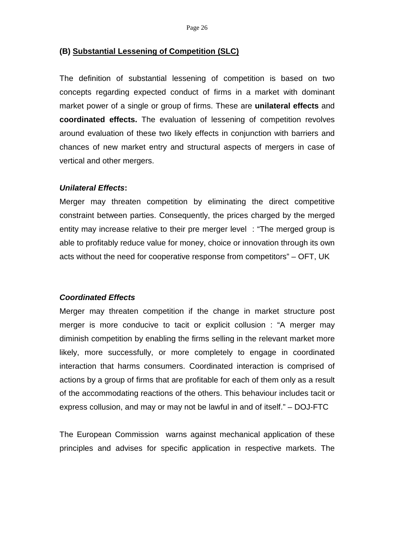### **(B) Substantial Lessening of Competition (SLC)**

The definition of substantial lessening of competition is based on two concepts regarding expected conduct of firms in a market with dominant market power of a single or group of firms. These are **unilateral effects** and **coordinated effects.** The evaluation of lessening of competition revolves around evaluation of these two likely effects in conjunction with barriers and chances of new market entry and structural aspects of mergers in case of vertical and other mergers.

#### *Unilateral Effects***:**

Merger may threaten competition by eliminating the direct competitive constraint between parties. Consequently, the prices charged by the merged entity may increase relative to their pre merger level : "The merged group is able to profitably reduce value for money, choice or innovation through its own acts without the need for cooperative response from competitors" – OFT, UK

### *Coordinated Effects*

Merger may threaten competition if the change in market structure post merger is more conducive to tacit or explicit collusion : "A merger may diminish competition by enabling the firms selling in the relevant market more likely, more successfully, or more completely to engage in coordinated interaction that harms consumers. Coordinated interaction is comprised of actions by a group of firms that are profitable for each of them only as a result of the accommodating reactions of the others. This behaviour includes tacit or express collusion, and may or may not be lawful in and of itself." – DOJ-FTC

The European Commission warns against mechanical application of these principles and advises for specific application in respective markets. The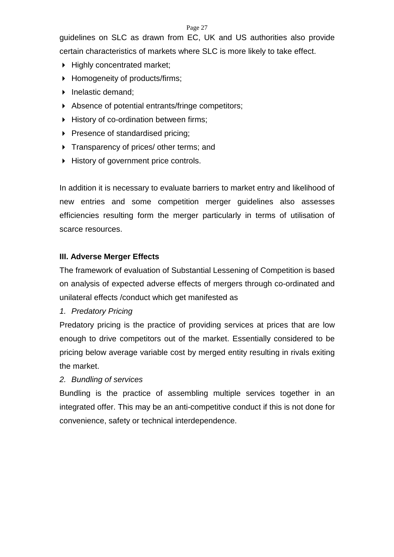guidelines on SLC as drawn from EC, UK and US authorities also provide certain characteristics of markets where SLC is more likely to take effect.

- $\blacktriangleright$  Highly concentrated market;
- ▶ Homogeneity of products/firms;
- Inelastic demand:
- Absence of potential entrants/fringe competitors;
- History of co-ordination between firms;
- Presence of standardised pricing;
- Transparency of prices/ other terms; and
- History of government price controls.

In addition it is necessary to evaluate barriers to market entry and likelihood of new entries and some competition merger guidelines also assesses efficiencies resulting form the merger particularly in terms of utilisation of scarce resources.

# **III. Adverse Merger Effects**

The framework of evaluation of Substantial Lessening of Competition is based on analysis of expected adverse effects of mergers through co-ordinated and unilateral effects /conduct which get manifested as

*1. Predatory Pricing* 

Predatory pricing is the practice of providing services at prices that are low enough to drive competitors out of the market. Essentially considered to be pricing below average variable cost by merged entity resulting in rivals exiting the market.

# *2. Bundling of services*

Bundling is the practice of assembling multiple services together in an integrated offer. This may be an anti-competitive conduct if this is not done for convenience, safety or technical interdependence.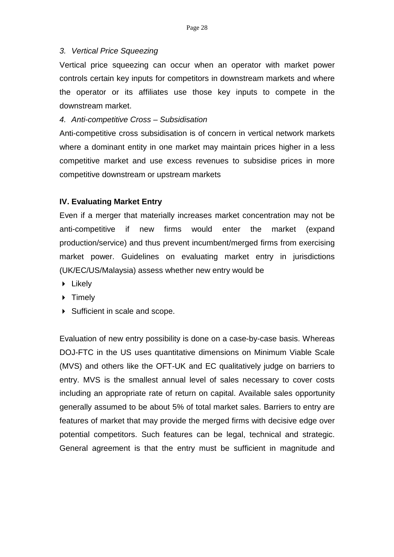### *3. Vertical Price Squeezing*

Vertical price squeezing can occur when an operator with market power controls certain key inputs for competitors in downstream markets and where the operator or its affiliates use those key inputs to compete in the downstream market.

### *4. Anti-competitive Cross – Subsidisation*

Anti-competitive cross subsidisation is of concern in vertical network markets where a dominant entity in one market may maintain prices higher in a less competitive market and use excess revenues to subsidise prices in more competitive downstream or upstream markets

### **IV. Evaluating Market Entry**

Even if a merger that materially increases market concentration may not be anti-competitive if new firms would enter the market (expand production/service) and thus prevent incumbent/merged firms from exercising market power. Guidelines on evaluating market entry in jurisdictions (UK/EC/US/Malaysia) assess whether new entry would be

- $\blacktriangleright$  Likely
- $\triangleright$  Timely
- $\triangleright$  Sufficient in scale and scope.

Evaluation of new entry possibility is done on a case-by-case basis. Whereas DOJ-FTC in the US uses quantitative dimensions on Minimum Viable Scale (MVS) and others like the OFT-UK and EC qualitatively judge on barriers to entry. MVS is the smallest annual level of sales necessary to cover costs including an appropriate rate of return on capital. Available sales opportunity generally assumed to be about 5% of total market sales. Barriers to entry are features of market that may provide the merged firms with decisive edge over potential competitors. Such features can be legal, technical and strategic. General agreement is that the entry must be sufficient in magnitude and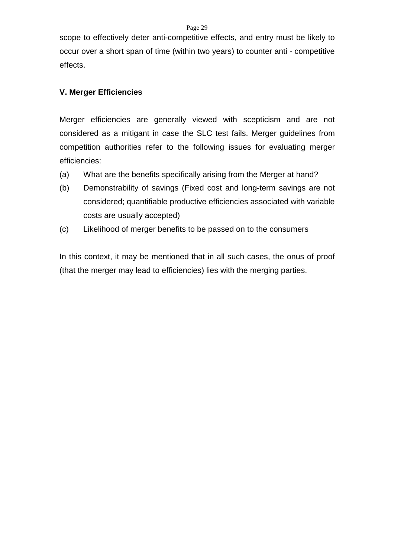scope to effectively deter anti-competitive effects, and entry must be likely to occur over a short span of time (within two years) to counter anti - competitive effects.

## **V. Merger Efficiencies**

Merger efficiencies are generally viewed with scepticism and are not considered as a mitigant in case the SLC test fails. Merger guidelines from competition authorities refer to the following issues for evaluating merger efficiencies:

- (a) What are the benefits specifically arising from the Merger at hand?
- (b) Demonstrability of savings (Fixed cost and long-term savings are not considered; quantifiable productive efficiencies associated with variable costs are usually accepted)
- (c) Likelihood of merger benefits to be passed on to the consumers

In this context, it may be mentioned that in all such cases, the onus of proof (that the merger may lead to efficiencies) lies with the merging parties.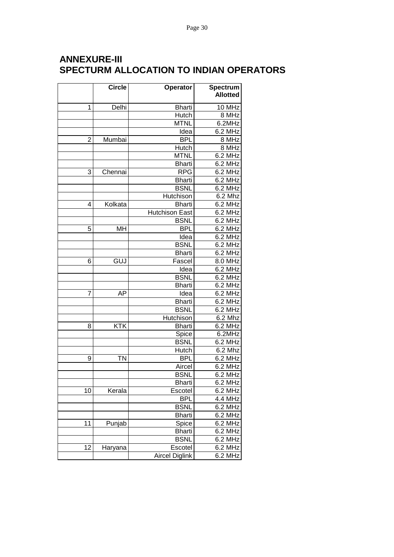# **ANNEXURE-III SPECTURM ALLOCATION TO INDIAN OPERATORS**

|                | <b>Circle</b> | Operator              | Spectrum        |
|----------------|---------------|-----------------------|-----------------|
|                |               |                       | <b>Allotted</b> |
| 1              | Delhi         | <b>Bharti</b>         | 10 MHz          |
|                |               | <b>Hutch</b>          | 8 MHz           |
|                |               | <b>MTNL</b>           | 6.2MHz          |
|                |               | Idea                  | 6.2 MHz         |
| $\overline{2}$ | Mumbai        | <b>BPL</b>            | 8 MHz           |
|                |               | Hutch                 | 8 MHz           |
|                |               | <b>MTNL</b>           | 6.2 MHz         |
|                |               | <b>Bharti</b>         | $6.2$ MHz       |
| 3              | Chennai       | <b>RPG</b>            | 6.2 MHz         |
|                |               | <b>Bharti</b>         | 6.2 MHz         |
|                |               | <b>BSNL</b>           | $6.2$ MHz       |
|                |               | Hutchison             | 6.2 Mhz         |
| 4              | Kolkata       | <b>Bharti</b>         | 6.2 MHz         |
|                |               | Hutchison East        | 6.2 MHz         |
|                |               | <b>BSNL</b>           | 6.2 MHz         |
| 5              | MH            | <b>BPL</b>            | 6.2 MHz         |
|                |               | Idea                  | 6.2 MHz         |
|                |               | <b>BSNL</b>           | 6.2 MHz         |
|                |               | <b>Bharti</b>         | 6.2 MHz         |
| 6              | GUJ           | Fascel                | 8.0 MHz         |
|                |               | Idea                  | 6.2 MHz         |
|                |               | <b>BSNL</b>           | 6.2 MHz         |
|                |               | <b>Bharti</b>         | 6.2 MHz         |
| 7              | AP            | Idea                  | 6.2 MHz         |
|                |               | <b>Bharti</b>         | 6.2 MHz         |
|                |               | <b>BSNL</b>           | 6.2 MHz         |
|                |               | Hutchison             | $6.2$ Mhz       |
| 8              | <b>KTK</b>    | <b>Bharti</b>         | 6.2 MHz         |
|                |               | Spice                 | 6.2MHz          |
|                |               | <b>BSNL</b>           | 6.2 MHz         |
|                |               | Hutch                 | 6.2 Mhz         |
| 9              | <b>TN</b>     | <b>BPL</b>            | 6.2 MHz         |
|                |               | Aircel                | 6.2 MHz         |
|                |               | <b>BSNL</b>           | 6.2 MHz         |
|                |               | <b>Bharti</b>         | 6.2 MHz         |
| 10             | Kerala        | Escotel               | 6.2 MHz         |
|                |               | <b>BPL</b>            | 4.4 MHz         |
|                |               | <b>BSNL</b>           | 6.2 MHz         |
|                |               | <b>Bharti</b>         | 6.2 MHz         |
| 11             | Punjab        | Spice                 | 6.2 MHz         |
|                |               | <b>Bharti</b>         | 6.2 MHz         |
|                |               | <b>BSNL</b>           | 6.2 MHz         |
| 12             | Haryana       | Escotel               | 6.2 MHz         |
|                |               | <b>Aircel Diglink</b> | 6.2 MHz         |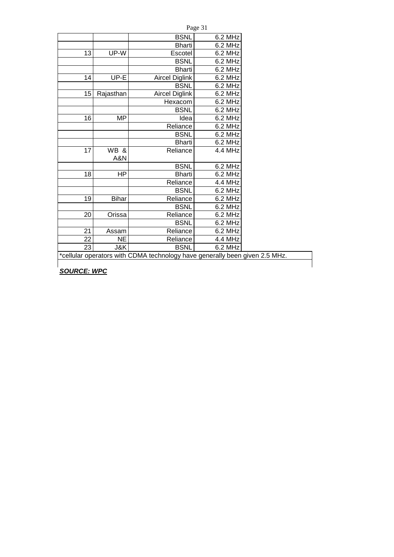| Page 31 |
|---------|
|         |

| <b>BSNL</b><br>6.2 MHz<br>6.2 MHz<br>Bharti<br>UP-W<br>13<br>Escotel<br>6.2 MHz<br><b>BSNL</b><br>6.2 MHz<br><b>Bharti</b><br>6.2 MHz<br>UP-E<br><b>Aircel Diglink</b><br>6.2 MHz<br>14<br><b>BSNL</b><br>6.2 MHz<br>15<br><b>Aircel Diglink</b><br>Rajasthan<br>6.2 MHz<br>6.2 MHz<br>Hexacom<br><b>BSNL</b><br>6.2 MHz<br><b>MP</b><br>6.2 MHz<br>16<br>Idea<br>6.2 MHz<br>Reliance<br>6.2 MHz<br><b>BSNL</b><br>6.2 MHz<br><b>Bharti</b><br>17<br>WB &<br>Reliance<br>4.4 MHz<br>A&N<br><b>BSNL</b><br>6.2 MHz<br>ΗP<br><b>Bharti</b><br>6.2 MHz<br>18<br>Reliance<br>4.4 MHz<br><b>BSNL</b><br>6.2 MHz<br>6.2 MHz<br>19<br><b>Bihar</b><br>Reliance<br><b>BSNL</b><br>6.2 MHz<br>6.2 MHz<br>20<br>Orissa<br>Reliance<br><b>BSNL</b><br>6.2 MHz<br>21<br>6.2 MHz<br>Assam<br>Reliance<br>22<br>4.4 MHz<br><b>NE</b><br>Reliance<br>23<br>6.2 MHz<br>J&K<br><b>BSNL</b> |  |  |
|---------------------------------------------------------------------------------------------------------------------------------------------------------------------------------------------------------------------------------------------------------------------------------------------------------------------------------------------------------------------------------------------------------------------------------------------------------------------------------------------------------------------------------------------------------------------------------------------------------------------------------------------------------------------------------------------------------------------------------------------------------------------------------------------------------------------------------------------------------------------------|--|--|
|                                                                                                                                                                                                                                                                                                                                                                                                                                                                                                                                                                                                                                                                                                                                                                                                                                                                           |  |  |
|                                                                                                                                                                                                                                                                                                                                                                                                                                                                                                                                                                                                                                                                                                                                                                                                                                                                           |  |  |
|                                                                                                                                                                                                                                                                                                                                                                                                                                                                                                                                                                                                                                                                                                                                                                                                                                                                           |  |  |
|                                                                                                                                                                                                                                                                                                                                                                                                                                                                                                                                                                                                                                                                                                                                                                                                                                                                           |  |  |
|                                                                                                                                                                                                                                                                                                                                                                                                                                                                                                                                                                                                                                                                                                                                                                                                                                                                           |  |  |
|                                                                                                                                                                                                                                                                                                                                                                                                                                                                                                                                                                                                                                                                                                                                                                                                                                                                           |  |  |
|                                                                                                                                                                                                                                                                                                                                                                                                                                                                                                                                                                                                                                                                                                                                                                                                                                                                           |  |  |
|                                                                                                                                                                                                                                                                                                                                                                                                                                                                                                                                                                                                                                                                                                                                                                                                                                                                           |  |  |
|                                                                                                                                                                                                                                                                                                                                                                                                                                                                                                                                                                                                                                                                                                                                                                                                                                                                           |  |  |
|                                                                                                                                                                                                                                                                                                                                                                                                                                                                                                                                                                                                                                                                                                                                                                                                                                                                           |  |  |
|                                                                                                                                                                                                                                                                                                                                                                                                                                                                                                                                                                                                                                                                                                                                                                                                                                                                           |  |  |
|                                                                                                                                                                                                                                                                                                                                                                                                                                                                                                                                                                                                                                                                                                                                                                                                                                                                           |  |  |
|                                                                                                                                                                                                                                                                                                                                                                                                                                                                                                                                                                                                                                                                                                                                                                                                                                                                           |  |  |
|                                                                                                                                                                                                                                                                                                                                                                                                                                                                                                                                                                                                                                                                                                                                                                                                                                                                           |  |  |
|                                                                                                                                                                                                                                                                                                                                                                                                                                                                                                                                                                                                                                                                                                                                                                                                                                                                           |  |  |
|                                                                                                                                                                                                                                                                                                                                                                                                                                                                                                                                                                                                                                                                                                                                                                                                                                                                           |  |  |
|                                                                                                                                                                                                                                                                                                                                                                                                                                                                                                                                                                                                                                                                                                                                                                                                                                                                           |  |  |
|                                                                                                                                                                                                                                                                                                                                                                                                                                                                                                                                                                                                                                                                                                                                                                                                                                                                           |  |  |
|                                                                                                                                                                                                                                                                                                                                                                                                                                                                                                                                                                                                                                                                                                                                                                                                                                                                           |  |  |
|                                                                                                                                                                                                                                                                                                                                                                                                                                                                                                                                                                                                                                                                                                                                                                                                                                                                           |  |  |
|                                                                                                                                                                                                                                                                                                                                                                                                                                                                                                                                                                                                                                                                                                                                                                                                                                                                           |  |  |
|                                                                                                                                                                                                                                                                                                                                                                                                                                                                                                                                                                                                                                                                                                                                                                                                                                                                           |  |  |
|                                                                                                                                                                                                                                                                                                                                                                                                                                                                                                                                                                                                                                                                                                                                                                                                                                                                           |  |  |
|                                                                                                                                                                                                                                                                                                                                                                                                                                                                                                                                                                                                                                                                                                                                                                                                                                                                           |  |  |
|                                                                                                                                                                                                                                                                                                                                                                                                                                                                                                                                                                                                                                                                                                                                                                                                                                                                           |  |  |
|                                                                                                                                                                                                                                                                                                                                                                                                                                                                                                                                                                                                                                                                                                                                                                                                                                                                           |  |  |
|                                                                                                                                                                                                                                                                                                                                                                                                                                                                                                                                                                                                                                                                                                                                                                                                                                                                           |  |  |

\*cellular operators with CDMA technology have generally been given 2.5 MHz.

*SOURCE: WPC*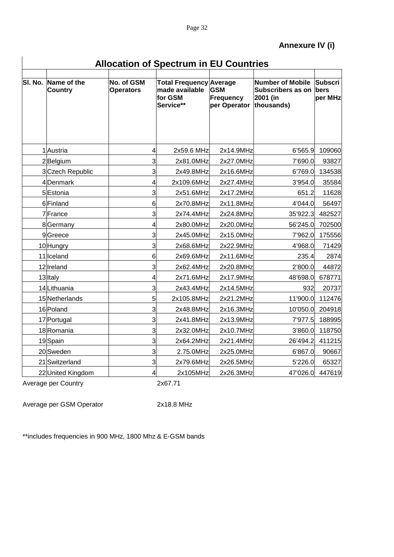| <b>Allocation of Spectrum in EU Countries</b> |  |  |
|-----------------------------------------------|--|--|
|-----------------------------------------------|--|--|

| SI. No. | Name of the       | No. of GSM       | <b>Total Frequency Average</b>         |                                                           | Number of Mobile                     | <b>Subscri</b>  |
|---------|-------------------|------------------|----------------------------------------|-----------------------------------------------------------|--------------------------------------|-----------------|
|         | <b>Country</b>    | <b>Operators</b> | made available<br>for GSM<br>Service** | <b>GSM</b><br><b>Frequency</b><br>per Operator thousands) | <b>Subscribers as on</b><br>2001 (in | bers<br>per MHz |
|         |                   |                  |                                        |                                                           |                                      |                 |
|         | 1 Austria         | 4                | 2x59.6 MHz                             | 2x14.9MHz                                                 | 6'565.9                              | 109060          |
|         | 2Belgium          | 3                | 2x81.0MHz                              | 2x27.0MHz                                                 | 7'690.0                              | 93827           |
|         | 3 Czech Republic  | 3                | 2x49.8MHz                              | 2x16.6MHz                                                 | 6'769.0                              | 134538          |
|         | 4Denmark          | 4                | 2x109.6MHz                             | 2x27.4MHz                                                 | 3'954.0                              | 35584           |
|         | 5Estonia          | 3                | 2x51.6MHz                              | 2x17.2MHz                                                 | 651.2                                | 11628           |
|         | 6 Finland         | 6                | 2x70.8MHz                              | 2x11.8MHz                                                 | 4'044.0                              | 56497           |
|         | 7France           | 3                | 2x74.4MHz                              | 2x24.8MHz                                                 | 35'922.3                             | 482527          |
|         | 8Germany          | 4                | 2x80.0MHz                              | 2x20.0MHz                                                 | 56'245.0                             | 702500          |
|         | 9Greece           | 3                | 2x45.0MHz                              | 2x15.0MHz                                                 | 7'962.0                              | 175556          |
|         | 10 Hungry         | 3                | 2x68.6MHz                              | 2x22.9MHz                                                 | 4'968.0                              | 71429           |
|         | 11 Iceland        | 6                | 2x69.6MHz                              | 2x11.6MHz                                                 | 235.4                                | 2874            |
|         | 12 Ireland        | 3                | 2x62.4MHz                              | 2x20.8MHz                                                 | 2'800.0                              | 44872           |
|         | 13 Italy          | 4                | 2x71.6MHz                              | 2x17.9MHz                                                 | 48'698.0                             | 678771          |
|         | 14 Lithuania      | 3                | 2x43.4MHz                              | 2x14.5MHz                                                 | 932                                  | 20737           |
|         | 15 Netherlands    | 5                | 2x105.8MHz                             | 2x21.2MHz                                                 | 11'900.0                             | 112476          |
|         | 16 Poland         | 3                | 2x48.8MHz                              | 2x16.3MHz                                                 | 10'050.0                             | 204918          |
|         | 17 Portugal       | 3                | 2x41.8MHz                              | 2x13.9MHz                                                 | 7'977.5                              | 188995          |
|         | 18 Romania        | 3                | 2x32.0MHz                              | 2x10.7MHz                                                 | 3'860.0                              | 118750          |
|         | 19 Spain          | 3                | 2x64.2MHz                              | 2x21.4MHz                                                 | 26'494.2                             | 411215          |
|         | 20 Sweden         | 3                | 2.75.0MHz                              | 2x25.0MHz                                                 | 6'867.0                              | 90667           |
|         | 21 Switzerland    | 3                | 2x79.6MHz                              | 2x26.5MHz                                                 | 5'226.0                              | 65327           |
|         | 22 United Kingdom | 4                | 2x105MHz                               | 2x26.3MHz                                                 | 47'026.0                             | 447619          |

Average per Country **2x67.71** 

Average per GSM Operator 2x18.8 MHz

\*\*includes frequencies in 900 MHz, 1800 Mhz & E-GSM bands